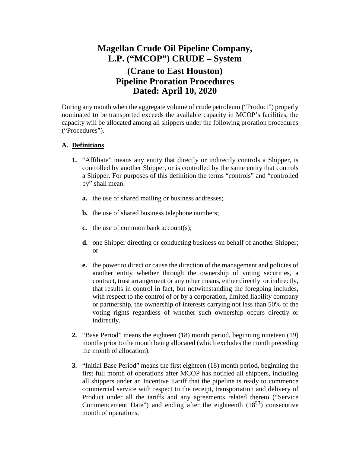# **Magellan Crude Oil Pipeline Company, L.P. ("MCOP") CRUDE – System (Crane to East Houston) Pipeline Proration Procedures Dated: April 10, 2020**

During any month when the aggregate volume of crude petroleum ("Product") properly nominated to be transported exceeds the available capacity in MCOP's facilities, the capacity will be allocated among all shippers under the following proration procedures ("Procedures").

#### **A. Definitions**

- **1.** "Affiliate" means any entity that directly or indirectly controls a Shipper, is controlled by another Shipper, or is controlled by the same entity that controls a Shipper. For purposes of this definition the terms "controls" and "controlled by" shall mean:
	- **a.** the use of shared mailing or business addresses;
	- **b.** the use of shared business telephone numbers;
	- **c.** the use of common bank account(s);
	- **d.** one Shipper directing or conducting business on behalf of another Shipper; or
	- **e.** the power to direct or cause the direction of the management and policies of another entity whether through the ownership of voting securities, a contract, trust arrangement or any other means, either directly or indirectly, that results in control in fact, but notwithstanding the foregoing includes, with respect to the control of or by a corporation, limited liability company or partnership, the ownership of interests carrying not less than 50% of the voting rights regardless of whether such ownership occurs directly or indirectly.
- **2.** "Base Period" means the eighteen (18) month period, beginning nineteen (19) months prior to the month being allocated (which excludes the month preceding the month of allocation).
- **3.** "Initial Base Period" means the first eighteen (18) month period, beginning the first full month of operations after MCOP has notified all shippers, including all shippers under an Incentive Tariff that the pipeline is ready to commence commercial service with respect to the receipt, transportation and delivery of Product under all the tariffs and any agreements related thereto ("Service Commencement Date") and ending after the eighteenth  $(18<sup>th</sup>)$  consecutive month of operations.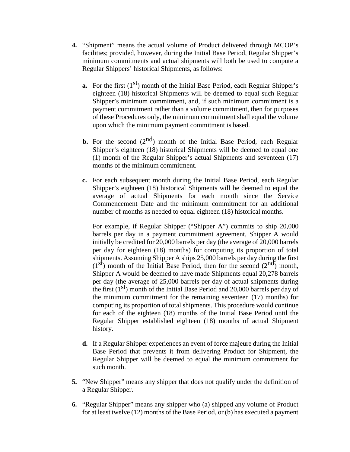- **4.** "Shipment" means the actual volume of Product delivered through MCOP's facilities; provided, however, during the Initial Base Period, Regular Shipper's minimum commitments and actual shipments will both be used to compute a Regular Shippers' historical Shipments, as follows:
	- **a.** For the first  $(1<sup>st</sup>)$  month of the Initial Base Period, each Regular Shipper's eighteen (18) historical Shipments will be deemed to equal such Regular Shipper's minimum commitment, and, if such minimum commitment is a payment commitment rather than a volume commitment, then for purposes of these Procedures only, the minimum commitment shall equal the volume upon which the minimum payment commitment is based.
	- **b.** For the second  $(2^{nd})$  month of the Initial Base Period, each Regular Shipper's eighteen (18) historical Shipments will be deemed to equal one (1) month of the Regular Shipper's actual Shipments and seventeen (17) months of the minimum commitment.
	- **c.** For each subsequent month during the Initial Base Period, each Regular Shipper's eighteen (18) historical Shipments will be deemed to equal the average of actual Shipments for each month since the Service Commencement Date and the minimum commitment for an additional number of months as needed to equal eighteen (18) historical months.

For example, if Regular Shipper ("Shipper A") commits to ship 20,000 barrels per day in a payment commitment agreement, Shipper A would initially be credited for 20,000 barrels per day (the average of 20,000 barrels per day for eighteen (18) months) for computing its proportion of total shipments. Assuming Shipper A ships 25,000 barrels per day during the first  $(1<sup>st</sup>)$  month of the Initial Base Period, then for the second  $(2<sup>nd</sup>)$  month, Shipper A would be deemed to have made Shipments equal 20,278 barrels per day (the average of 25,000 barrels per day of actual shipments during the first  $(1<sup>st</sup>)$  month of the Initial Base Period and 20,000 barrels per day of the minimum commitment for the remaining seventeen (17) months) for computing its proportion of total shipments. This procedure would continue for each of the eighteen (18) months of the Initial Base Period until the Regular Shipper established eighteen (18) months of actual Shipment history.

- **d.** If a Regular Shipper experiences an event of force majeure during the Initial Base Period that prevents it from delivering Product for Shipment, the Regular Shipper will be deemed to equal the minimum commitment for such month.
- **5.** "New Shipper" means any shipper that does not qualify under the definition of a Regular Shipper.
- **6.** "Regular Shipper" means any shipper who (a) shipped any volume of Product for at least twelve (12) months of the Base Period, or (b) has executed a payment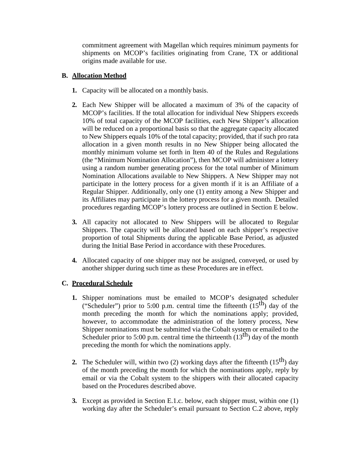commitment agreement with Magellan which requires minimum payments for shipments on MCOP's facilities originating from Crane, TX or additional origins made available for use.

## **B. Allocation Method**

- **1.** Capacity will be allocated on a monthly basis.
- **2.** Each New Shipper will be allocated a maximum of 3% of the capacity of MCOP's facilities. If the total allocation for individual New Shippers exceeds 10% of total capacity of the MCOP facilities, each New Shipper's allocation will be reduced on a proportional basis so that the aggregate capacity allocated to New Shippers equals 10% of the total capacity; provided, that if such pro rata allocation in a given month results in no New Shipper being allocated the monthly minimum volume set forth in Item 40 of the Rules and Regulations (the "Minimum Nomination Allocation"), then MCOP will administer a lottery using a random number generating process for the total number of Minimum Nomination Allocations available to New Shippers. A New Shipper may not participate in the lottery process for a given month if it is an Affiliate of a Regular Shipper. Additionally, only one (1) entity among a New Shipper and its Affiliates may participate in the lottery process for a given month. Detailed procedures regarding MCOP's lottery process are outlined in Section E below.
- **3.** All capacity not allocated to New Shippers will be allocated to Regular Shippers. The capacity will be allocated based on each shipper's respective proportion of total Shipments during the applicable Base Period, as adjusted during the Initial Base Period in accordance with these Procedures.
- **4.** Allocated capacity of one shipper may not be assigned, conveyed, or used by another shipper during such time as these Procedures are in effect.

### **C. Procedural Schedule**

- **1.** Shipper nominations must be emailed to MCOP's designated scheduler ("Scheduler") prior to 5:00 p.m. central time the fifteenth  $(15<sup>th</sup>)$  day of the month preceding the month for which the nominations apply; provided, however, to accommodate the administration of the lottery process, New Shipper nominations must be submitted via the Cobalt system or emailed to the Scheduler prior to 5:00 p.m. central time the thirteenth  $(13<sup>th</sup>)$  day of the month preceding the month for which the nominations apply.
- **2.** The Scheduler will, within two  $(2)$  working days after the fifteenth  $(15<sup>th</sup>)$  day of the month preceding the month for which the nominations apply, reply by email or via the Cobalt system to the shippers with their allocated capacity based on the Procedures described above.
- **3.** Except as provided in Section E.1.c. below, each shipper must, within one (1) working day after the Scheduler's email pursuant to Section C.2 above, reply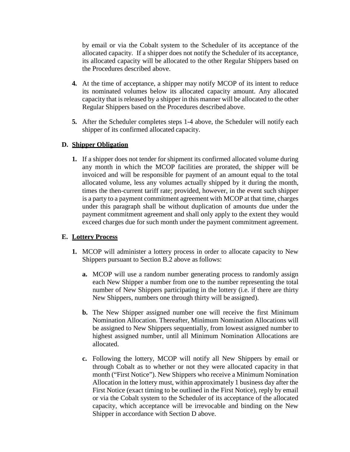by email or via the Cobalt system to the Scheduler of its acceptance of the allocated capacity. If a shipper does not notify the Scheduler of its acceptance, its allocated capacity will be allocated to the other Regular Shippers based on the Procedures described above.

- **4.** At the time of acceptance, a shipper may notify MCOP of its intent to reduce its nominated volumes below its allocated capacity amount. Any allocated capacity that is released by a shipper in this manner will be allocated to the other Regular Shippers based on the Procedures described above.
- **5.** After the Scheduler completes steps 1-4 above, the Scheduler will notify each shipper of its confirmed allocated capacity.

## **D. Shipper Obligation**

**1.** If a shipper does not tender for shipment its confirmed allocated volume during any month in which the MCOP facilities are prorated, the shipper will be invoiced and will be responsible for payment of an amount equal to the total allocated volume, less any volumes actually shipped by it during the month, times the then-current tariff rate; provided, however, in the event such shipper is a party to a payment commitment agreement with MCOP at that time, charges under this paragraph shall be without duplication of amounts due under the payment commitment agreement and shall only apply to the extent they would exceed charges due for such month under the payment commitment agreement.

### **E. Lottery Process**

- **1.** MCOP will administer a lottery process in order to allocate capacity to New Shippers pursuant to Section B.2 above as follows:
	- **a.** MCOP will use a random number generating process to randomly assign each New Shipper a number from one to the number representing the total number of New Shippers participating in the lottery (i.e. if there are thirty New Shippers, numbers one through thirty will be assigned).
	- **b.** The New Shipper assigned number one will receive the first Minimum Nomination Allocation. Thereafter, Minimum Nomination Allocations will be assigned to New Shippers sequentially, from lowest assigned number to highest assigned number, until all Minimum Nomination Allocations are allocated.
	- **c.** Following the lottery, MCOP will notify all New Shippers by email or through Cobalt as to whether or not they were allocated capacity in that month ("First Notice"). New Shippers who receive a Minimum Nomination Allocation in the lottery must, within approximately 1 business day after the First Notice (exact timing to be outlined in the First Notice), reply by email or via the Cobalt system to the Scheduler of its acceptance of the allocated capacity, which acceptance will be irrevocable and binding on the New Shipper in accordance with Section D above.